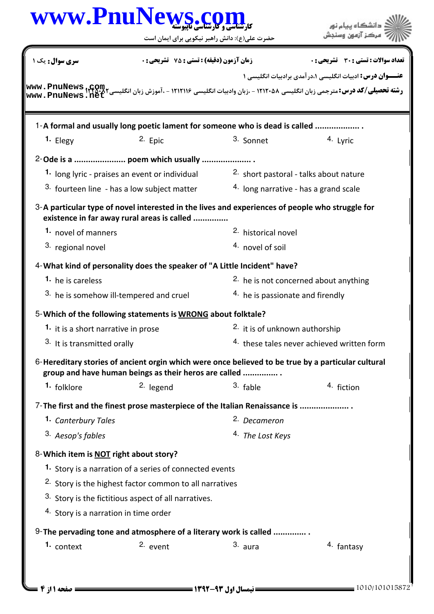|                                                                              | حضرت علی(ع): دانش راهبر نیکویی برای ایمان است                                                                                                               |                                             |                                                                 |  |
|------------------------------------------------------------------------------|-------------------------------------------------------------------------------------------------------------------------------------------------------------|---------------------------------------------|-----------------------------------------------------------------|--|
| <b>زمان آزمون (دقیقه) : تستی : 75 ٪ تشریحی : 0</b><br><b>سری سوال :</b> یک ۱ |                                                                                                                                                             |                                             | تعداد سوالات : تستى : 30 ٪ تشريحي : 0                           |  |
|                                                                              |                                                                                                                                                             |                                             | <b>عنـــوان درس:</b> ادبیات انگلیسی ۱،درآمدی برادبیات انگلیسی ۱ |  |
|                                                                              | 1-A formal and usually long poetic lament for someone who is dead is called                                                                                 |                                             |                                                                 |  |
| 1. Elegy                                                                     | 2. Epic                                                                                                                                                     | 3. Sonnet                                   | 4. Lyric                                                        |  |
|                                                                              | 2-Ode is a  poem which usually                                                                                                                              |                                             |                                                                 |  |
|                                                                              | 1. long lyric - praises an event or individual                                                                                                              | 2. short pastoral - talks about nature      |                                                                 |  |
|                                                                              | <sup>3.</sup> fourteen line - has a low subject matter                                                                                                      | 4. long narrative - has a grand scale       |                                                                 |  |
|                                                                              | 3-A particular type of novel interested in the lives and experiences of people who struggle for<br>existence in far away rural areas is called              |                                             |                                                                 |  |
|                                                                              | 1. novel of manners                                                                                                                                         |                                             | <sup>2</sup> historical novel                                   |  |
| 3. regional novel                                                            |                                                                                                                                                             |                                             | 4. novel of soil                                                |  |
|                                                                              | 4-What kind of personality does the speaker of "A Little Incident" have?                                                                                    |                                             |                                                                 |  |
| <b>1.</b> he is careless                                                     |                                                                                                                                                             |                                             | <sup>2.</sup> he is not concerned about anything                |  |
|                                                                              | 3. he is somehow ill-tempered and cruel                                                                                                                     | <sup>4.</sup> he is passionate and firendly |                                                                 |  |
|                                                                              | 5-Which of the following statements is WRONG about folktale?                                                                                                |                                             |                                                                 |  |
| 1. it is a short narrative in prose                                          |                                                                                                                                                             | <sup>2</sup> it is of unknown authorship    |                                                                 |  |
|                                                                              | 3. It is transmitted orally                                                                                                                                 |                                             | <sup>4.</sup> these tales never achieved written form           |  |
|                                                                              | 6-Hereditary stories of ancient orgin which were once believed to be true by a particular cultural<br>group and have human beings as their heros are called |                                             |                                                                 |  |
| <sup>1.</sup> folklore                                                       | <sup>2.</sup> legend                                                                                                                                        | $3.$ fable                                  | 4. fiction                                                      |  |
|                                                                              | 7- The first and the finest prose masterpiece of the Italian Renaissance is                                                                                 |                                             |                                                                 |  |
| 1. Canterbury Tales                                                          |                                                                                                                                                             | 2. Decameron                                |                                                                 |  |
| 3. Aesop's fables                                                            |                                                                                                                                                             | 4. The Lost Keys                            |                                                                 |  |
| 8-Which item is NOT right about story?                                       |                                                                                                                                                             |                                             |                                                                 |  |
|                                                                              | 1. Story is a narration of a series of connected events                                                                                                     |                                             |                                                                 |  |
|                                                                              | <sup>2.</sup> Story is the highest factor common to all narratives                                                                                          |                                             |                                                                 |  |
|                                                                              | 3. Story is the fictitious aspect of all narratives.                                                                                                        |                                             |                                                                 |  |
| 4. Story is a narration in time order                                        |                                                                                                                                                             |                                             |                                                                 |  |
|                                                                              | 9- The pervading tone and atmosphere of a literary work is called                                                                                           |                                             |                                                                 |  |
| 1. context                                                                   | 2. event                                                                                                                                                    | 3. aura                                     | <sup>4.</sup> fantasy                                           |  |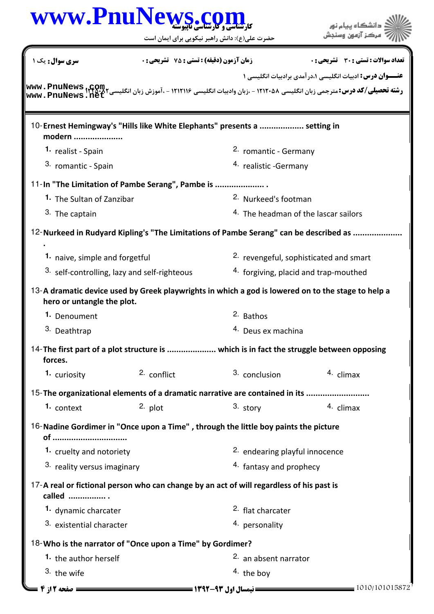| www.PnuNews.c                                                                                                                    | حضرت علی(ع): دانش راهبر نیکویی برای ایمان است      |                                       | دانشگاه پیام نور<br>مركز آزمهن وسنجش                            |  |  |
|----------------------------------------------------------------------------------------------------------------------------------|----------------------------------------------------|---------------------------------------|-----------------------------------------------------------------|--|--|
| <b>سری سوال :</b> یک ۱                                                                                                           | <b>زمان آزمون (دقیقه) : تستی : 75 ٪ تشریحی : 0</b> |                                       | تعداد سوالات : تستي : 30 - تشريحي : 0                           |  |  |
|                                                                                                                                  |                                                    |                                       | <b>عنـــوان درس:</b> ادبیات انگلیسی ۱،درآمدی برادبیات انگلیسی ۱ |  |  |
| www.PnuNews.ne                                                                                                                   |                                                    |                                       |                                                                 |  |  |
| 10-Ernest Hemingway's "Hills like White Elephants" presents a  setting in<br>modern                                              |                                                    |                                       |                                                                 |  |  |
| 1. realist - Spain                                                                                                               |                                                    | <sup>2.</sup> romantic - Germany      |                                                                 |  |  |
| 3. romantic - Spain                                                                                                              |                                                    | 4. realistic - Germany                |                                                                 |  |  |
| 11-In "The Limitation of Pambe Serang", Pambe is                                                                                 |                                                    |                                       |                                                                 |  |  |
| 1. The Sultan of Zanzibar                                                                                                        |                                                    |                                       | 2. Nurkeed's footman                                            |  |  |
| 3. The captain                                                                                                                   |                                                    |                                       | 4. The headman of the lascar sailors                            |  |  |
| 12-Nurkeed in Rudyard Kipling's "The Limitations of Pambe Serang" can be described as                                            |                                                    |                                       |                                                                 |  |  |
|                                                                                                                                  |                                                    |                                       |                                                                 |  |  |
|                                                                                                                                  | 1. naive, simple and forgetful                     |                                       | <sup>2.</sup> revengeful, sophisticated and smart               |  |  |
| <sup>3.</sup> self-controlling, lazy and self-righteous                                                                          |                                                    | 4. forgiving, placid and trap-mouthed |                                                                 |  |  |
| 13-A dramatic device used by Greek playwrights in which a god is lowered on to the stage to help a<br>hero or untangle the plot. |                                                    |                                       |                                                                 |  |  |
| 1. Denoument                                                                                                                     |                                                    | 2. Bathos                             |                                                                 |  |  |
| 3. Deathtrap                                                                                                                     |                                                    |                                       | 4. Deus ex machina                                              |  |  |
| 14-The first part of a plot structure is  which is in fact the struggle between opposing<br>forces.                              |                                                    |                                       |                                                                 |  |  |
| 1. curiosity                                                                                                                     | 2. conflict                                        | 3. conclusion                         | $4.$ climax                                                     |  |  |
| 15-The organizational elements of a dramatic narrative are contained in its                                                      |                                                    |                                       |                                                                 |  |  |
| 1. context                                                                                                                       | 2. plot                                            | 3. story                              | 4. climax                                                       |  |  |
| 16-Nadine Gordimer in "Once upon a Time", through the little boy paints the picture<br>of                                        |                                                    |                                       |                                                                 |  |  |
| 1. cruelty and notoriety                                                                                                         |                                                    |                                       | 2. endearing playful innocence                                  |  |  |
| 3. reality versus imaginary                                                                                                      |                                                    |                                       | 4. fantasy and prophecy                                         |  |  |
| 17-A real or fictional person who can change by an act of will regardless of his past is<br>called                               |                                                    |                                       |                                                                 |  |  |
| 1. dynamic charcater                                                                                                             |                                                    | <sup>2.</sup> flat charcater          |                                                                 |  |  |
| 3. existential character                                                                                                         |                                                    | 4. personality                        |                                                                 |  |  |
| 18-Who is the narrator of "Once upon a Time" by Gordimer?                                                                        |                                                    |                                       |                                                                 |  |  |
| 1. the author herself                                                                                                            |                                                    | 2. an absent narrator                 |                                                                 |  |  |
| 3. the wife                                                                                                                      |                                                    | $4.$ the boy                          |                                                                 |  |  |
| = صفحه 12ز 4                                                                                                                     |                                                    |                                       | = 1010/101015872                                                |  |  |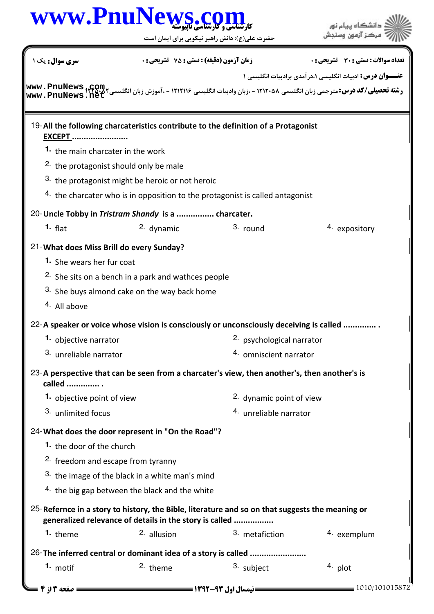|                                               |                                                                | حضرت علی(ع): دانش راهبر نیکویی برای ایمان است                                                                       |                                                           |
|-----------------------------------------------|----------------------------------------------------------------|---------------------------------------------------------------------------------------------------------------------|-----------------------------------------------------------|
| <b>سری سوال :</b> یک ۱                        | <b>زمان آزمون (دقیقه) : تستی : 75 ٪ تشریحی : 0</b>             |                                                                                                                     | تعداد سوالات : تستي : 30 - تشريحي : 0                     |
|                                               |                                                                |                                                                                                                     | عنـــوان درس: ادبیات انگلیسی ۱،در آمدی برادبیات انگلیسی ۱ |
|                                               |                                                                |                                                                                                                     |                                                           |
| <b>EXCEPT </b>                                |                                                                | 19-All the following charcateristics contribute to the definition of a Protagonist                                  |                                                           |
| 1. the main charcater in the work             |                                                                |                                                                                                                     |                                                           |
| 2. the protagonist should only be male        |                                                                |                                                                                                                     |                                                           |
|                                               | 3. the protagonist might be heroic or not heroic               |                                                                                                                     |                                                           |
|                                               |                                                                | 4. the charcater who is in opposition to the protagonist is called antagonist                                       |                                                           |
|                                               | 20- Uncle Tobby in Tristram Shandy is a  charcater.            |                                                                                                                     |                                                           |
| $1.$ flat                                     | 2. dynamic                                                     | $3.$ round                                                                                                          | 4. expository                                             |
| 21-What does Miss Brill do every Sunday?      |                                                                |                                                                                                                     |                                                           |
| 1. She wears her fur coat                     |                                                                |                                                                                                                     |                                                           |
|                                               | <sup>2.</sup> She sits on a bench in a park and wathces people |                                                                                                                     |                                                           |
|                                               | 3. She buys almond cake on the way back home                   |                                                                                                                     |                                                           |
| 4. All above                                  |                                                                |                                                                                                                     |                                                           |
|                                               |                                                                |                                                                                                                     |                                                           |
| 1. objective narrator                         |                                                                | 22-A speaker or voice whose vision is consciously or unconsciously deceiving is called<br>2. psychological narrator |                                                           |
| 3. unreliable narrator                        |                                                                | 4. omniscient narrator                                                                                              |                                                           |
|                                               |                                                                |                                                                                                                     |                                                           |
| called                                        |                                                                | 23-A perspective that can be seen from a charcater's view, then another's, then another's is                        |                                                           |
| 1. objective point of view                    |                                                                | <sup>2.</sup> dynamic point of view                                                                                 |                                                           |
| 3. unlimited focus                            |                                                                | 4. unreliable narrator                                                                                              |                                                           |
|                                               |                                                                |                                                                                                                     |                                                           |
|                                               | 24-What does the door represent in "On the Road"?              |                                                                                                                     |                                                           |
| 1. the door of the church                     |                                                                |                                                                                                                     |                                                           |
| <sup>2.</sup> freedom and escape from tyranny |                                                                |                                                                                                                     |                                                           |
|                                               | 3. the image of the black in a white man's mind                |                                                                                                                     |                                                           |
|                                               | 4. the big gap between the black and the white                 |                                                                                                                     |                                                           |
|                                               | generalized relevance of details in the story is called        | 25-Refernce in a story to history, the Bible, literature and so on that suggests the meaning or                     |                                                           |
| 1. theme                                      | 2. allusion                                                    | 3. metafiction                                                                                                      | 4. exemplum                                               |
|                                               |                                                                | 26-The inferred central or dominant idea of a story is called                                                       |                                                           |
| 1. motif                                      | <sup>2.</sup> theme                                            | 3. subject                                                                                                          | 4. plot                                                   |
|                                               |                                                                |                                                                                                                     |                                                           |